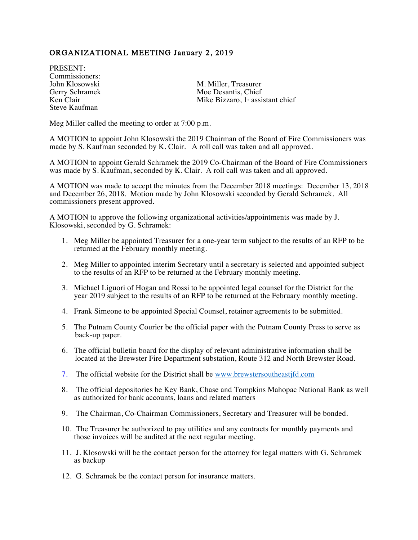## ORGANIZATIONAL MEETING January 2, 2019

PRESENT: Commissioners:<br>John Klosowski Steve Kaufman

John Klosowski M. Miller, Treasurer<br>
Gerry Schramek Moe Desantis, Chief Gerry Schramek Moe Desantis, Chief<br>Ken Clair Mike Bizzaro. 1: assis Mike Bizzaro,  $1$  assistant chief

Meg Miller called the meeting to order at 7:00 p.m.

A MOTION to appoint John Klosowski the 2019 Chairman of the Board of Fire Commissioners was made by S. Kaufman seconded by K. Clair. A roll call was taken and all approved.

A MOTION to appoint Gerald Schramek the 2019 Co-Chairman of the Board of Fire Commissioners was made by S. Kaufman, seconded by K. Clair. A roll call was taken and all approved.

A MOTION was made to accept the minutes from the December 2018 meetings: December 13, 2018 and December 26, 2018. Motion made by John Klosowski seconded by Gerald Schramek. All commissioners present approved.

A MOTION to approve the following organizational activities/appointments was made by J. Klosowski, seconded by G. Schramek:

- 1. Meg Miller be appointed Treasurer for a one-year term subject to the results of an RFP to be returned at the February monthly meeting.
- 2. Meg Miller to appointed interim Secretary until a secretary is selected and appointed subject to the results of an RFP to be returned at the February monthly meeting.
- 3. Michael Liguori of Hogan and Rossi to be appointed legal counsel for the District for the year 2019 subject to the results of an RFP to be returned at the February monthly meeting.
- 4. Frank Simeone to be appointed Special Counsel, retainer agreements to be submitted.
- 5. The Putnam County Courier be the official paper with the Putnam County Press to serve as back-up paper.
- 6. The official bulletin board for the display of relevant administrative information shall be located at the Brewster Fire Department substation, Route 312 and North Brewster Road.
- 7. The official website for the District shall be www.brewstersoutheastjfd.com
- 8. The official depositories be Key Bank, Chase and Tompkins Mahopac National Bank as well as authorized for bank accounts, loans and related matters
- 9. The Chairman, Co-Chairman Commissioners, Secretary and Treasurer will be bonded.
- 10. The Treasurer be authorized to pay utilities and any contracts for monthly payments and those invoices will be audited at the next regular meeting.
- 11. J. Klosowski will be the contact person for the attorney for legal matters with G. Schramek as backup
- 12. G. Schramek be the contact person for insurance matters.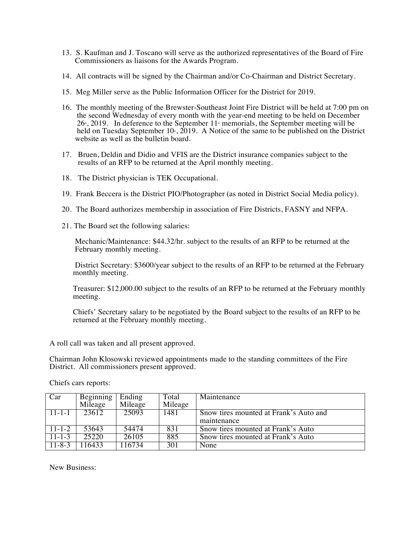- 13. S. Kaufman and J. Toscano will serve as the authorized representatives of the Board of Fire Commissioners as liaisons for the Awards Program.
- 14. All contracts will be signed by the Chairman and/or Co-Chairman and District Secretary.
- 15. Meg Miller serve as the Public Information Officer for the District for 2019.
- 16. The monthly meeting of the Brewster-Southeast Joint Fire District will be held at 7:00 pm on the second Wednesday of every month with the year-end meeting to be held on December  $26$ <sup>th</sup>, 2019. In deference to the September 11<sup>th</sup> memorials, the September meeting will be held on Tuesday September 10<sup>th</sup>, 2019. A Notice of the same to be published on the District website as well as the bulletin board.
- 17. Bruen, Deldin and Didio and VFIS are the District insurance companies subject to the results of an RFP to be returned at the April monthly meeting.
- 18. The District physician is TEK Occupational.
- 19. Frank Beccera is the District PIO/Photographer (as noted in District Social Media policy).
- 20. The Board authorizes membership in association of Fire Districts, FASNY and NFPA.
- 21. The Board set the following salaries:

 Mechanic/Maintenance: \$44.32/hr. subject to the results of an RFP to be returned at the February monthly meeting.

 District Secretary: \$3600/year subject to the results of an RFP to be returned at the February monthly meeting.

 Treasurer: \$12,000.00 subject to the results of an RFP to be returned at the February monthly meeting.

 Chiefs' Secretary salary to be negotiated by the Board subject to the results of an RFP to be returned at the February monthly meeting.

A roll call was taken and all present approved.

Chairman John Klosowski reviewed appointments made to the standing committees of the Fire District. All commissioners present approved.

Chiefs cars reports:

| Car          | Beginning<br>Mileage | Ending<br>Mileage | Total<br>Mileage | Maintenance                            |
|--------------|----------------------|-------------------|------------------|----------------------------------------|
| $11 - 1 - 1$ | 23612                | 25093             | 1481             | Snow tires mounted at Frank's Auto and |
|              |                      |                   |                  | maintenance                            |
| $11 - 1 - 2$ | 53643                | 54474             | 831              | Snow tires mounted at Frank's Auto     |
| $11 - 1 - 3$ | 25220                | 26105             | 885              | Snow tires mounted at Frank's Auto     |
| $11 - 8 - 3$ | 116433               | 116734            | 301              | None                                   |

New Business: